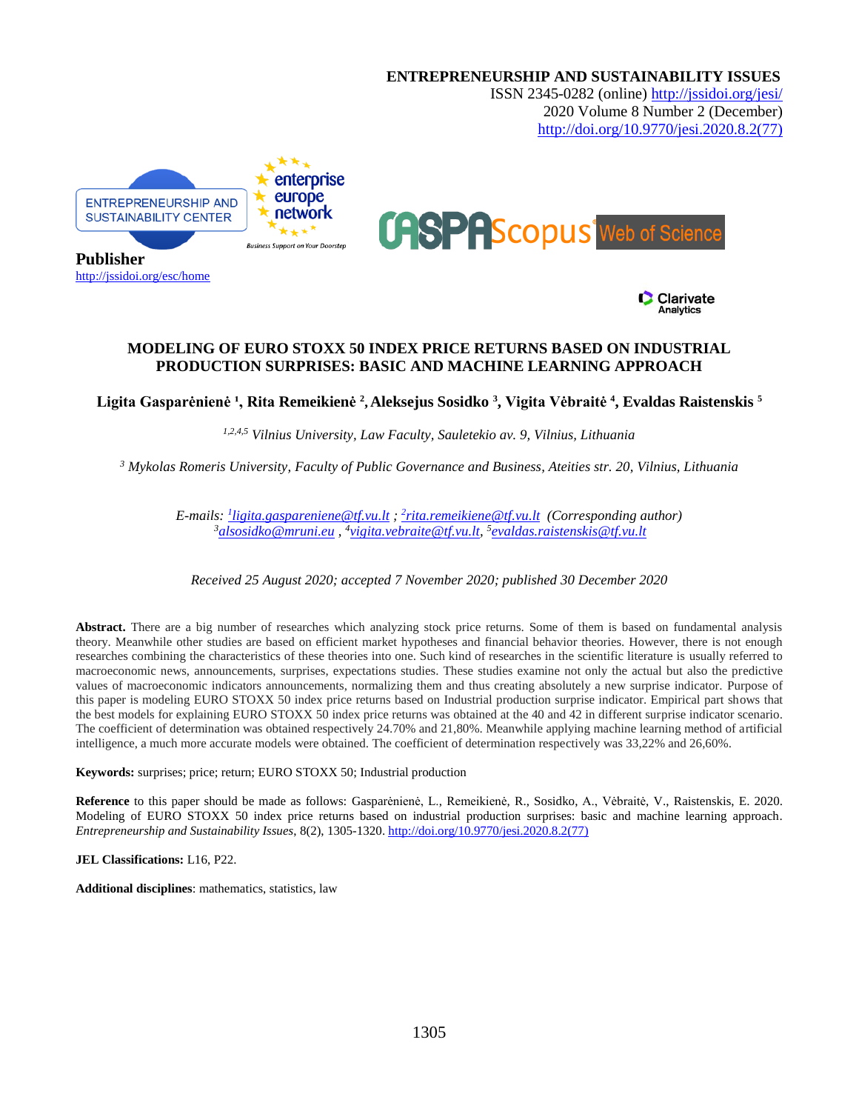**ENTREPRENEURSHIP AND SUSTAINABILITY ISSUES** ISSN 2345-0282 (online)<http://jssidoi.org/jesi/> 2020 Volume 8 Number 2 (December) [http://doi.org/10.9770/jesi.2020.8.2\(77\)](http://doi.org/10.9770/jesi.2020.8.2(77))



**URSPRScopus** Web of Science



# **MODELING OF EURO STOXX 50 INDEX PRICE RETURNS BASED ON INDUSTRIAL PRODUCTION SURPRISES: BASIC AND MACHINE LEARNING APPROACH**

**Ligita Gasparėnienė ¹, Rita Remeikienė 2 ,Aleksejus Sosidko <sup>3</sup> , Vigita Vėbraitė <sup>4</sup> , Evaldas Raistenskis <sup>5</sup>**

*1,2,4,5 Vilnius University, Law Faculty, Sauletekio av. 9, Vilnius, Lithuania*

*<sup>3</sup> Mykolas Romeris University, Faculty of Public Governance and Business, Ateities str. 20, Vilnius, Lithuania*

*E-mails: <sup>1</sup> [ligita.gaspareniene@tf.vu.lt](mailto:1ligita.gaspareniene@tf.vu.lt) ; 2 [rita.remeikiene@tf.vu.lt](mailto:2rita.remeikiene@tf.vu.lt) (Corresponding author) <sup>3</sup>[alsosidko@mruni.eu](mailto:alsosidko@mruni.eu) , 4 [vigita.vebraite@tf.vu.lt,](mailto:vigita.vebraite@tf.vu.lt) 5 [evaldas.raistenskis@tf.vu.lt](mailto:evaldas.raistenskis@tf.vu.lt)*

*Received 25 August 2020; accepted 7 November 2020; published 30 December 2020*

Abstract. There are a big number of researches which analyzing stock price returns. Some of them is based on fundamental analysis theory. Meanwhile other studies are based on efficient market hypotheses and financial behavior theories. However, there is not enough researches combining the characteristics of these theories into one. Such kind of researches in the scientific literature is usually referred to macroeconomic news, announcements, surprises, expectations studies. These studies examine not only the actual but also the predictive values of macroeconomic indicators announcements, normalizing them and thus creating absolutely a new surprise indicator. Purpose of this paper is modeling EURO STOXX 50 index price returns based on Industrial production surprise indicator. Empirical part shows that the best models for explaining EURO STOXX 50 index price returns was obtained at the 40 and 42 in different surprise indicator scenario. The coefficient of determination was obtained respectively 24.70% and 21,80%. Meanwhile applying machine learning method of artificial intelligence, a much more accurate models were obtained. The coefficient of determination respectively was 33,22% and 26,60%.

**Keywords:** surprises; price; return; EURO STOXX 50; Industrial production

**Reference** to this paper should be made as follows: Gasparėnienė, L., Remeikienė, R., Sosidko, A., Vėbraitė, V., Raistenskis, E. 2020. Modeling of EURO STOXX 50 index price returns based on industrial production surprises: basic and machine learning approach. *Entrepreneurship and Sustainability Issues*, 8(2), 1305-1320[. http://doi.org/10.9770/jesi.2020.8.2\(77\)](http://doi.org/10.9770/jesi.2020.8.2(77))

**JEL Classifications:** L16, P22.

**Additional disciplines**: mathematics, statistics, law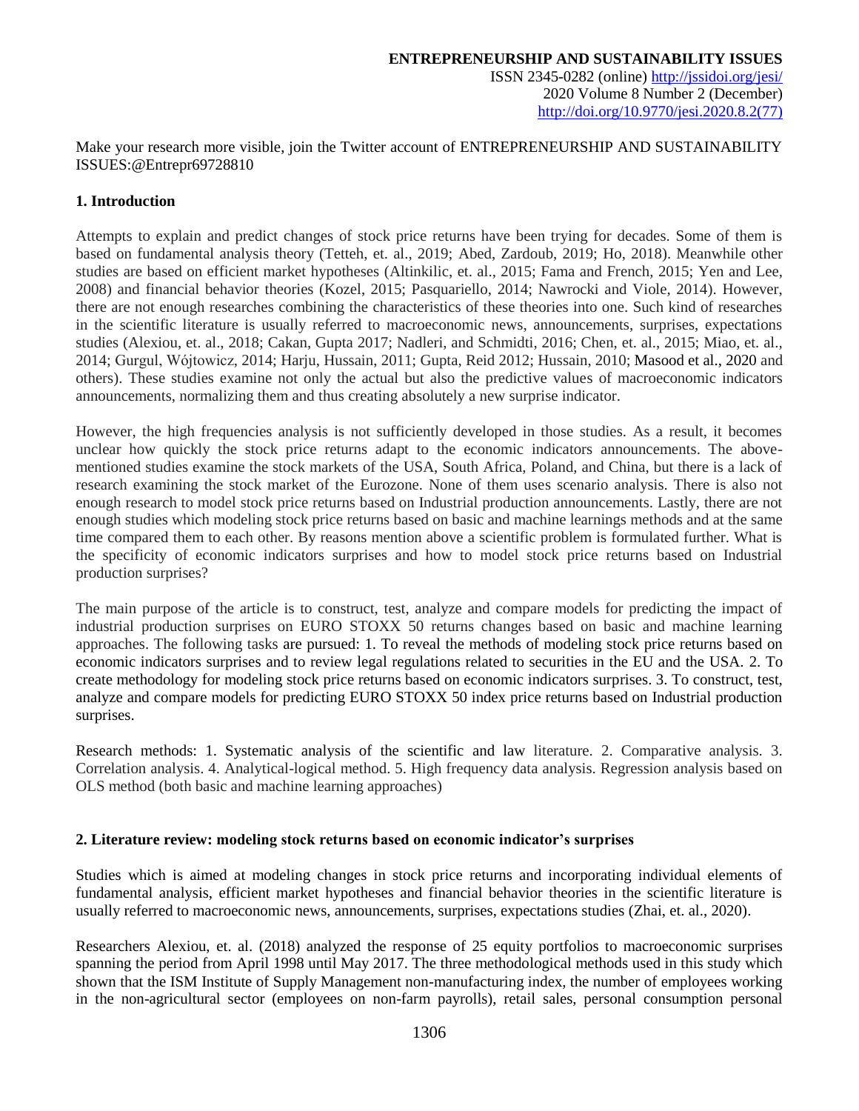# **1. Introduction**

Attempts to explain and predict changes of stock price returns have been trying for decades. Some of them is based on fundamental analysis theory (Tetteh, et. al., 2019; Abed, Zardoub, 2019; Ho, 2018). Meanwhile other studies are based on efficient market hypotheses (Altinkilic, et. al., 2015; Fama and French, 2015; Yen and Lee, 2008) and financial behavior theories (Kozel, 2015; Pasquariello, 2014; Nawrocki and Viole, 2014). However, there are not enough researches combining the characteristics of these theories into one. Such kind of researches in the scientific literature is usually referred to macroeconomic news, announcements, surprises, expectations studies (Alexiou, et. al., 2018; Cakan, Gupta 2017; Nadleri, and Schmidti, 2016; Chen, et. al., 2015; Miao, et. al., 2014; Gurgul, Wójtowicz, 2014; Harju, Hussain, 2011; Gupta, Reid 2012; Hussain, 2010; Masood et al., 2020 and others). These studies examine not only the actual but also the predictive values of macroeconomic indicators announcements, normalizing them and thus creating absolutely a new surprise indicator.

However, the high frequencies analysis is not sufficiently developed in those studies. As a result, it becomes unclear how quickly the stock price returns adapt to the economic indicators announcements. The abovementioned studies examine the stock markets of the USA, South Africa, Poland, and China, but there is a lack of research examining the stock market of the Eurozone. None of them uses scenario analysis. There is also not enough research to model stock price returns based on Industrial production announcements. Lastly, there are not enough studies which modeling stock price returns based on basic and machine learnings methods and at the same time compared them to each other. By reasons mention above a scientific problem is formulated further. What is the specificity of economic indicators surprises and how to model stock price returns based on Industrial production surprises?

The main purpose of the article is to construct, test, analyze and compare models for predicting the impact of industrial production surprises on EURO STOXX 50 returns changes based on basic and machine learning approaches. The following tasks are pursued: 1. To reveal the methods of modeling stock price returns based on economic indicators surprises and to review legal regulations related to securities in the EU and the USA. 2. To create methodology for modeling stock price returns based on economic indicators surprises. 3. To construct, test, analyze and compare models for predicting EURO STOXX 50 index price returns based on Industrial production surprises.

Research methods: 1. Systematic analysis of the scientific and law literature. 2. Comparative analysis. 3. Correlation analysis. 4. Analytical-logical method. 5. High frequency data analysis. Regression analysis based on OLS method (both basic and machine learning approaches)

# **2. Literature review: modeling stock returns based on economic indicator's surprises**

Studies which is aimed at modeling changes in stock price returns and incorporating individual elements of fundamental analysis, efficient market hypotheses and financial behavior theories in the scientific literature is usually referred to macroeconomic news, announcements, surprises, expectations studies (Zhai, et. al., 2020).

Researchers Alexiou, et. al. (2018) analyzed the response of 25 equity portfolios to macroeconomic surprises spanning the period from April 1998 until May 2017. The three methodological methods used in this study which shown that the ISM Institute of Supply Management non-manufacturing index, the number of employees working in the non-agricultural sector (employees on non-farm payrolls), retail sales, personal consumption personal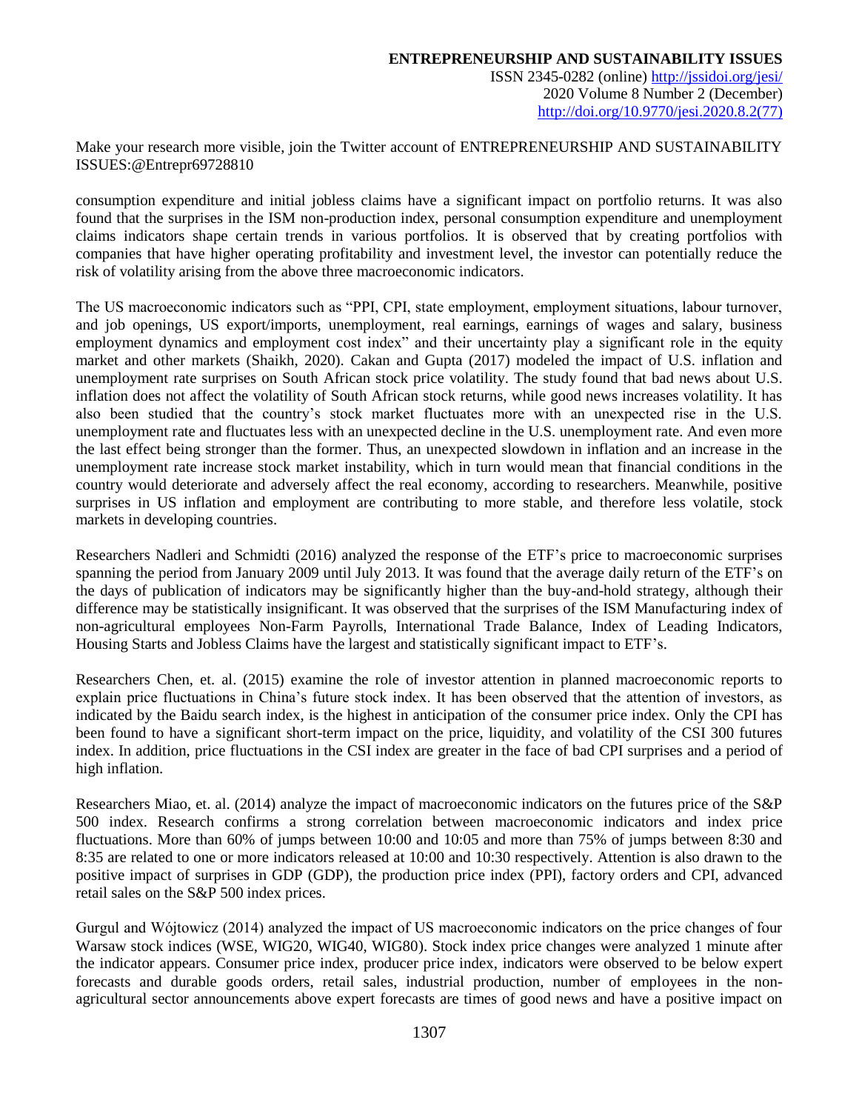2020 Volume 8 Number 2 (December) [http://doi.org/10.9770/jesi.2020.8.2\(77\)](http://doi.org/10.9770/jesi.2020.8.2(77))

Make your research more visible, join the Twitter account of ENTREPRENEURSHIP AND SUSTAINABILITY ISSUES:@Entrepr69728810

consumption expenditure and initial jobless claims have a significant impact on portfolio returns. It was also found that the surprises in the ISM non-production index, personal consumption expenditure and unemployment claims indicators shape certain trends in various portfolios. It is observed that by creating portfolios with companies that have higher operating profitability and investment level, the investor can potentially reduce the risk of volatility arising from the above three macroeconomic indicators.

The US macroeconomic indicators such as "PPI, CPI, state employment, employment situations, labour turnover, and job openings, US export/imports, unemployment, real earnings, earnings of wages and salary, business employment dynamics and employment cost index" and their uncertainty play a significant role in the equity market and other markets (Shaikh, 2020). Cakan and Gupta (2017) modeled the impact of U.S. inflation and unemployment rate surprises on South African stock price volatility. The study found that bad news about U.S. inflation does not affect the volatility of South African stock returns, while good news increases volatility. It has also been studied that the country's stock market fluctuates more with an unexpected rise in the U.S. unemployment rate and fluctuates less with an unexpected decline in the U.S. unemployment rate. And even more the last effect being stronger than the former. Thus, an unexpected slowdown in inflation and an increase in the unemployment rate increase stock market instability, which in turn would mean that financial conditions in the country would deteriorate and adversely affect the real economy, according to researchers. Meanwhile, positive surprises in US inflation and employment are contributing to more stable, and therefore less volatile, stock markets in developing countries.

Researchers Nadleri and Schmidti (2016) analyzed the response of the ETF's price to macroeconomic surprises spanning the period from January 2009 until July 2013. It was found that the average daily return of the ETF's on the days of publication of indicators may be significantly higher than the buy-and-hold strategy, although their difference may be statistically insignificant. It was observed that the surprises of the ISM Manufacturing index of non-agricultural employees Non-Farm Payrolls, International Trade Balance, Index of Leading Indicators, Housing Starts and Jobless Claims have the largest and statistically significant impact to ETF's.

Researchers Chen, et. al. (2015) examine the role of investor attention in planned macroeconomic reports to explain price fluctuations in China's future stock index. It has been observed that the attention of investors, as indicated by the Baidu search index, is the highest in anticipation of the consumer price index. Only the CPI has been found to have a significant short-term impact on the price, liquidity, and volatility of the CSI 300 futures index. In addition, price fluctuations in the CSI index are greater in the face of bad CPI surprises and a period of high inflation.

Researchers Miao, et. al. (2014) analyze the impact of macroeconomic indicators on the futures price of the S&P 500 index. Research confirms a strong correlation between macroeconomic indicators and index price fluctuations. More than 60% of jumps between 10:00 and 10:05 and more than 75% of jumps between 8:30 and 8:35 are related to one or more indicators released at 10:00 and 10:30 respectively. Attention is also drawn to the positive impact of surprises in GDP (GDP), the production price index (PPI), factory orders and CPI, advanced retail sales on the S&P 500 index prices.

Gurgul and Wójtowicz (2014) analyzed the impact of US macroeconomic indicators on the price changes of four Warsaw stock indices (WSE, WIG20, WIG40, WIG80). Stock index price changes were analyzed 1 minute after the indicator appears. Consumer price index, producer price index, indicators were observed to be below expert forecasts and durable goods orders, retail sales, industrial production, number of employees in the nonagricultural sector announcements above expert forecasts are times of good news and have a positive impact on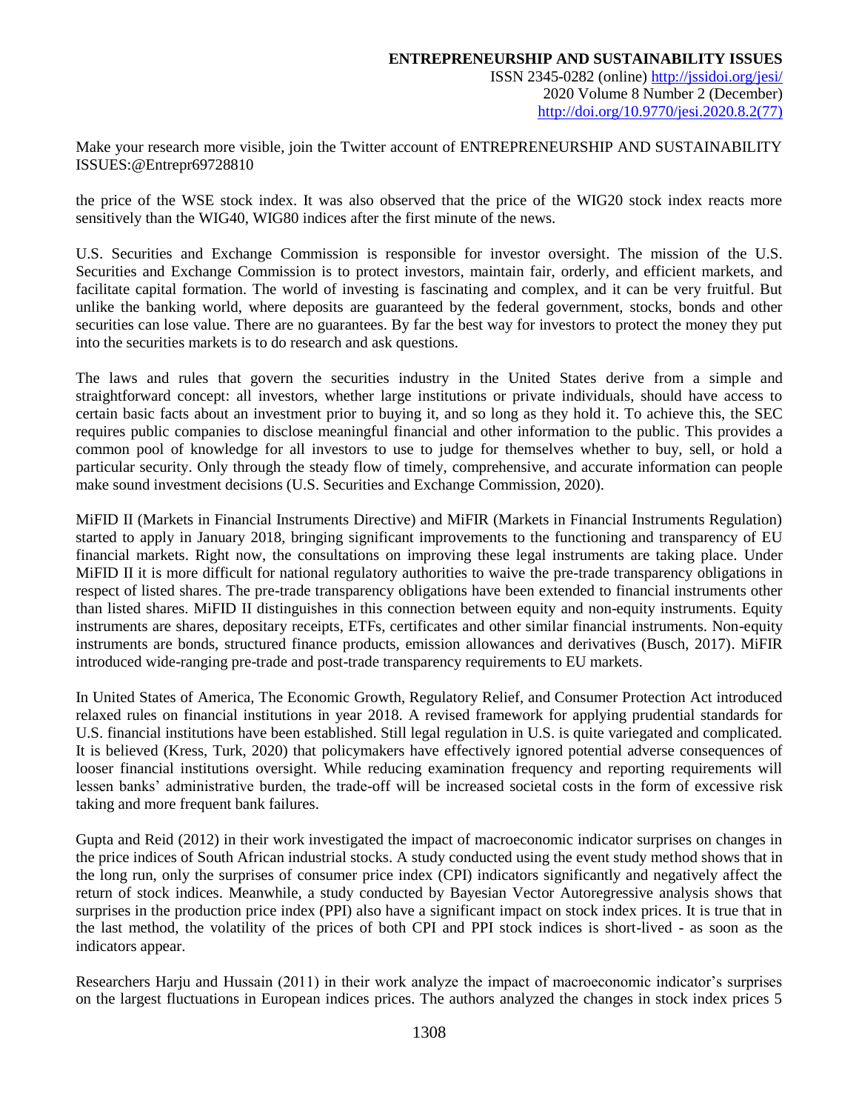the price of the WSE stock index. It was also observed that the price of the WIG20 stock index reacts more sensitively than the WIG40, WIG80 indices after the first minute of the news.

U.S. Securities and Exchange Commission is responsible for investor oversight. The mission of the U.S. Securities and Exchange Commission is to protect investors, maintain fair, orderly, and efficient markets, and facilitate capital formation. The world of investing is fascinating and complex, and it can be very fruitful. But unlike the banking world, where deposits are guaranteed by the federal government, stocks, bonds and other securities can lose value. There are no guarantees. By far the best way for investors to protect the money they put into the securities markets is to do research and ask questions.

The laws and rules that govern the securities industry in the United States derive from a simple and straightforward concept: all investors, whether large institutions or private individuals, should have access to certain basic facts about an investment prior to buying it, and so long as they hold it. To achieve this, the SEC requires public companies to disclose meaningful financial and other information to the public. This provides a common pool of knowledge for all investors to use to judge for themselves whether to buy, sell, or hold a particular security. Only through the steady flow of timely, comprehensive, and accurate information can people make sound investment decisions (U.S. Securities and Exchange Commission, 2020).

MiFID II (Markets in Financial Instruments Directive) and MiFIR (Markets in Financial Instruments Regulation) started to apply in January 2018, bringing significant improvements to the functioning and transparency of EU financial markets. Right now, the consultations on improving these legal instruments are taking place. Under MiFID II it is more difficult for national regulatory authorities to waive the pre-trade transparency obligations in respect of listed shares. The pre-trade transparency obligations have been extended to financial instruments other than listed shares. MiFID II distinguishes in this connection between equity and non-equity instruments. Equity instruments are shares, depositary receipts, ETFs, certificates and other similar financial instruments. Non-equity instruments are bonds, structured finance products, emission allowances and derivatives (Busch, 2017). MiFIR introduced wide-ranging pre-trade and post-trade transparency requirements to EU markets.

In United States of America, The Economic Growth, Regulatory Relief, and Consumer Protection Act introduced relaxed rules on financial institutions in year 2018. A revised framework for applying prudential standards for U.S. financial institutions have been established. Still legal regulation in U.S. is quite variegated and complicated. It is believed (Kress, Turk, 2020) that policymakers have effectively ignored potential adverse consequences of looser financial institutions oversight. While reducing examination frequency and reporting requirements will lessen banks' administrative burden, the trade-off will be increased societal costs in the form of excessive risk taking and more frequent bank failures.

Gupta and Reid (2012) in their work investigated the impact of macroeconomic indicator surprises on changes in the price indices of South African industrial stocks. A study conducted using the event study method shows that in the long run, only the surprises of consumer price index (CPI) indicators significantly and negatively affect the return of stock indices. Meanwhile, a study conducted by Bayesian Vector Autoregressive analysis shows that surprises in the production price index (PPI) also have a significant impact on stock index prices. It is true that in the last method, the volatility of the prices of both CPI and PPI stock indices is short-lived - as soon as the indicators appear.

Researchers Harju and Hussain (2011) in their work analyze the impact of macroeconomic indicator's surprises on the largest fluctuations in European indices prices. The authors analyzed the changes in stock index prices 5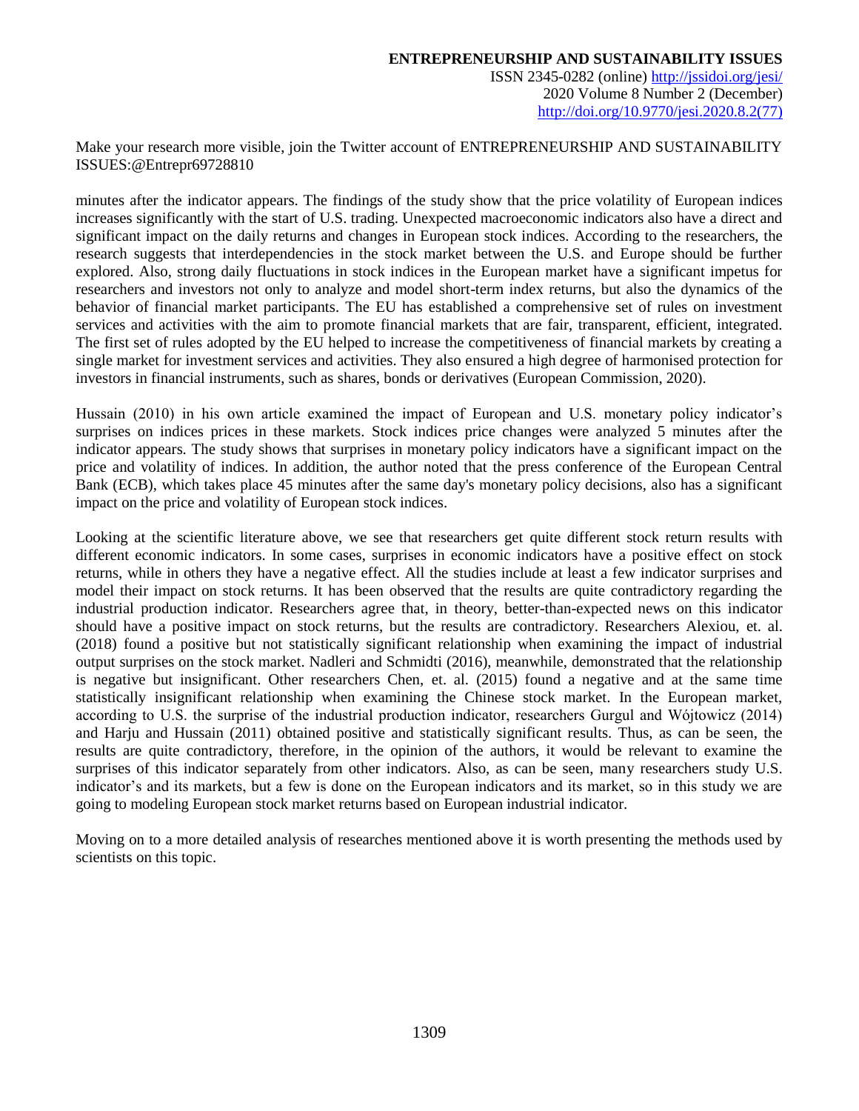Make your research more visible, join the Twitter account of ENTREPRENEURSHIP AND SUSTAINABILITY ISSUES:@Entrepr69728810

minutes after the indicator appears. The findings of the study show that the price volatility of European indices increases significantly with the start of U.S. trading. Unexpected macroeconomic indicators also have a direct and significant impact on the daily returns and changes in European stock indices. According to the researchers, the research suggests that interdependencies in the stock market between the U.S. and Europe should be further explored. Also, strong daily fluctuations in stock indices in the European market have a significant impetus for researchers and investors not only to analyze and model short-term index returns, but also the dynamics of the behavior of financial market participants. The EU has established a comprehensive set of rules on investment services and activities with the aim to promote financial markets that are fair, transparent, efficient, integrated. The first set of rules adopted by the EU helped to increase the competitiveness of financial markets by creating a single market for investment services and activities. They also ensured a high degree of harmonised protection for investors in financial instruments, such as shares, bonds or derivatives (European Commission, 2020).

Hussain (2010) in his own article examined the impact of European and U.S. monetary policy indicator's surprises on indices prices in these markets. Stock indices price changes were analyzed 5 minutes after the indicator appears. The study shows that surprises in monetary policy indicators have a significant impact on the price and volatility of indices. In addition, the author noted that the press conference of the European Central Bank (ECB), which takes place 45 minutes after the same day's monetary policy decisions, also has a significant impact on the price and volatility of European stock indices.

Looking at the scientific literature above, we see that researchers get quite different stock return results with different economic indicators. In some cases, surprises in economic indicators have a positive effect on stock returns, while in others they have a negative effect. All the studies include at least a few indicator surprises and model their impact on stock returns. It has been observed that the results are quite contradictory regarding the industrial production indicator. Researchers agree that, in theory, better-than-expected news on this indicator should have a positive impact on stock returns, but the results are contradictory. Researchers Alexiou, et. al. (2018) found a positive but not statistically significant relationship when examining the impact of industrial output surprises on the stock market. Nadleri and Schmidti (2016), meanwhile, demonstrated that the relationship is negative but insignificant. Other researchers Chen, et. al. (2015) found a negative and at the same time statistically insignificant relationship when examining the Chinese stock market. In the European market, according to U.S. the surprise of the industrial production indicator, researchers Gurgul and Wójtowicz (2014) and Harju and Hussain (2011) obtained positive and statistically significant results. Thus, as can be seen, the results are quite contradictory, therefore, in the opinion of the authors, it would be relevant to examine the surprises of this indicator separately from other indicators. Also, as can be seen, many researchers study U.S. indicator's and its markets, but a few is done on the European indicators and its market, so in this study we are going to modeling European stock market returns based on European industrial indicator.

Moving on to a more detailed analysis of researches mentioned above it is worth presenting the methods used by scientists on this topic.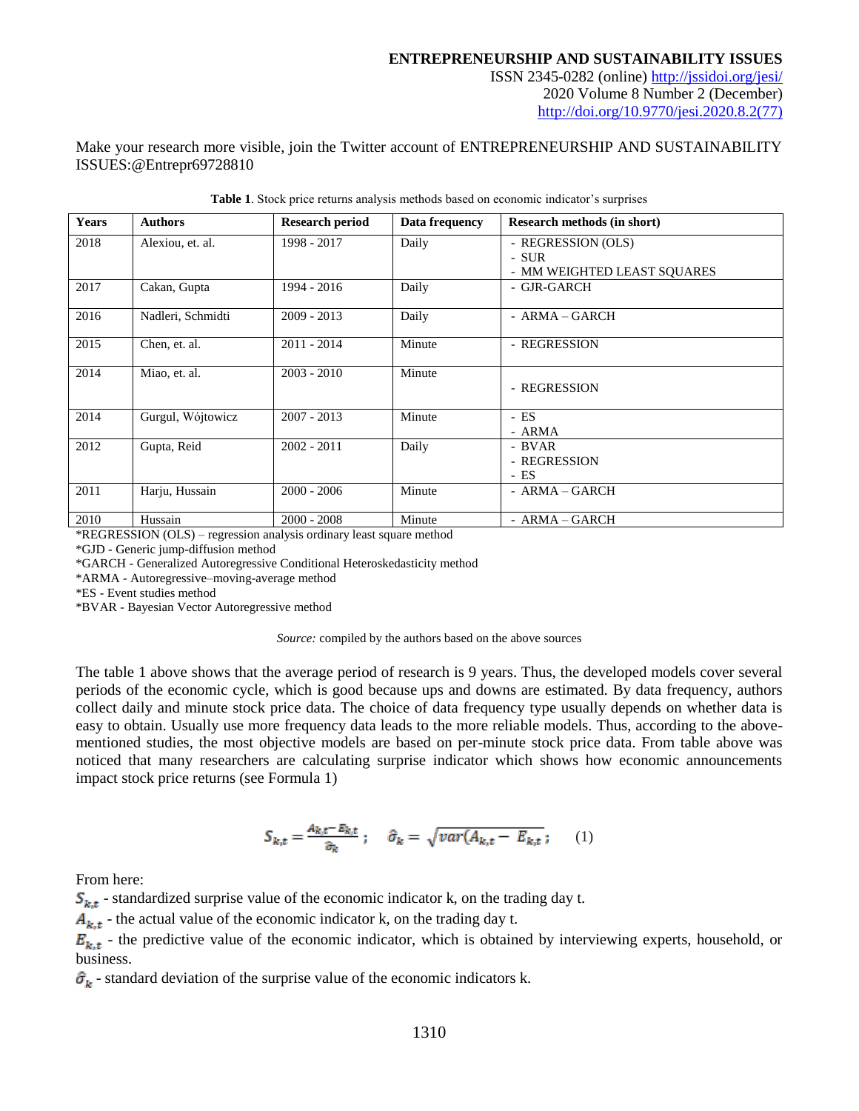| <b>Years</b> | <b>Authors</b>    | <b>Research period</b> | Data frequency | Research methods (in short)                                |
|--------------|-------------------|------------------------|----------------|------------------------------------------------------------|
| 2018         | Alexiou, et. al.  | 1998 - 2017            | Daily          | - REGRESSION (OLS)<br>- SUR<br>- MM WEIGHTED LEAST SOUARES |
| 2017         | Cakan, Gupta      | 1994 - 2016            | Daily          | - GJR-GARCH                                                |
| 2016         | Nadleri, Schmidti | $2009 - 2013$          | Daily          | - ARMA – GARCH                                             |
| 2015         | Chen, et. al.     | $2011 - 2014$          | Minute         | - REGRESSION                                               |
| 2014         | Miao, et. al.     | $2003 - 2010$          | Minute         | - REGRESSION                                               |
| 2014         | Gurgul, Wójtowicz | $2007 - 2013$          | Minute         | - ES<br>- ARMA                                             |
| 2012         | Gupta, Reid       | $2002 - 2011$          | Daily          | - BVAR<br>- REGRESSION<br>- ES                             |
| 2011         | Harju, Hussain    | $2000 - 2006$          | Minute         | $- ARMA - GARCH$                                           |
| 2010         | Hussain           | $2000 - 2008$          | Minute         | - ARMA – GARCH                                             |

**Table 1**. Stock price returns analysis methods based on economic indicator's surprises

\*REGRESSION (OLS) – regression analysis ordinary least square method

\*GJD - Generic jump-diffusion method

\*GARCH - Generalized Autoregressive Conditional Heteroskedasticity method

\*ARMA - Autoregressive–moving-average method

\*ES - Event studies method

\*BVAR - Bayesian Vector Autoregressive method

#### *Source:* compiled by the authors based on the above sources

The table 1 above shows that the average period of research is 9 years. Thus, the developed models cover several periods of the economic cycle, which is good because ups and downs are estimated. By data frequency, authors collect daily and minute stock price data. The choice of data frequency type usually depends on whether data is easy to obtain. Usually use more frequency data leads to the more reliable models. Thus, according to the abovementioned studies, the most objective models are based on per-minute stock price data. From table above was noticed that many researchers are calculating surprise indicator which shows how economic announcements impact stock price returns (see Formula 1)

$$
S_{k,t} = \frac{A_{k,t} - E_{k,t}}{\hat{\sigma}_k}; \quad \hat{\sigma}_k = \sqrt{var(A_{k,t} - E_{k,t})}; \quad (1)
$$

From here:

 $S_{k,t}$  - standardized surprise value of the economic indicator k, on the trading day t.

 $A_{k,t}$  - the actual value of the economic indicator k, on the trading day t.

 $E_{k,t}$  - the predictive value of the economic indicator, which is obtained by interviewing experts, household, or business.

 $\hat{\sigma}_{k}$  - standard deviation of the surprise value of the economic indicators k.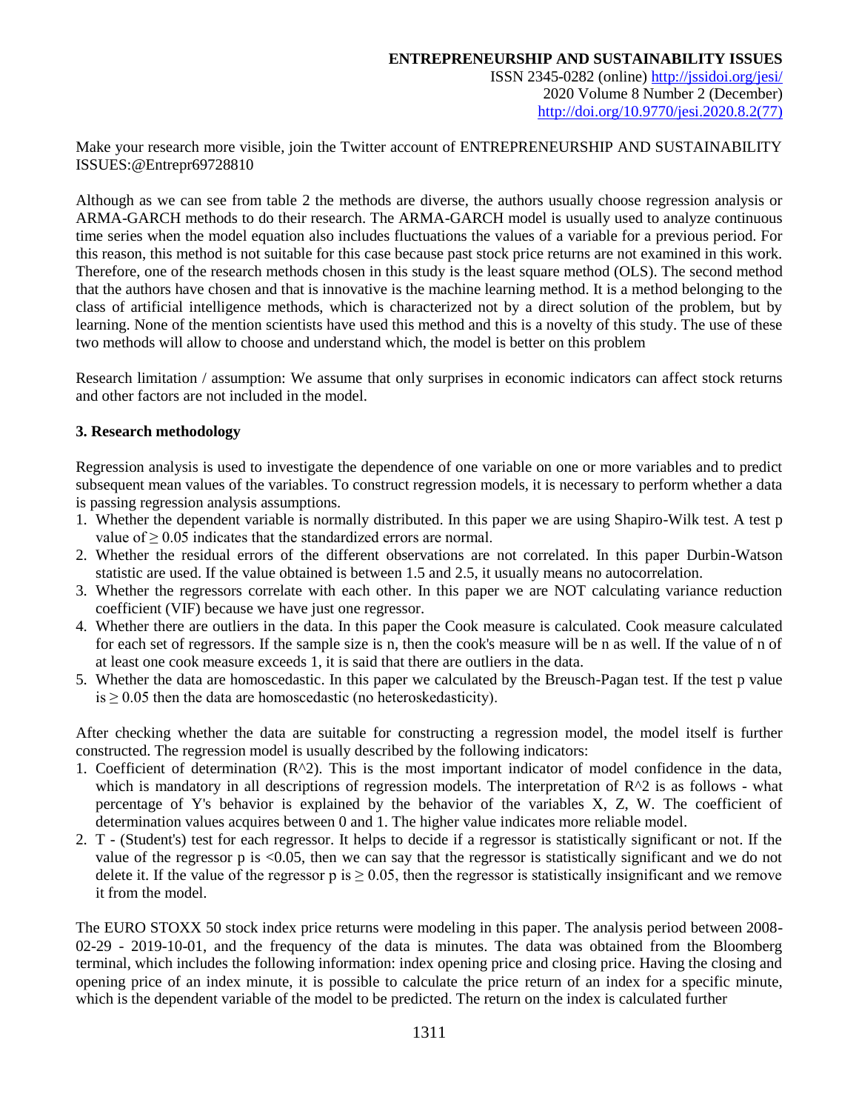Make your research more visible, join the Twitter account of ENTREPRENEURSHIP AND SUSTAINABILITY ISSUES:@Entrepr69728810

Although as we can see from table 2 the methods are diverse, the authors usually choose regression analysis or ARMA-GARCH methods to do their research. The ARMA-GARCH model is usually used to analyze continuous time series when the model equation also includes fluctuations the values of a variable for a previous period. For this reason, this method is not suitable for this case because past stock price returns are not examined in this work. Therefore, one of the research methods chosen in this study is the least square method (OLS). The second method that the authors have chosen and that is innovative is the machine learning method. It is a method belonging to the class of artificial intelligence methods, which is characterized not by a direct solution of the problem, but by learning. None of the mention scientists have used this method and this is a novelty of this study. The use of these two methods will allow to choose and understand which, the model is better on this problem

Research limitation / assumption: We assume that only surprises in economic indicators can affect stock returns and other factors are not included in the model.

# **3. Research methodology**

Regression analysis is used to investigate the dependence of one variable on one or more variables and to predict subsequent mean values of the variables. To construct regression models, it is necessary to perform whether a data is passing regression analysis assumptions.

- 1. Whether the dependent variable is normally distributed. In this paper we are using Shapiro-Wilk test. A test p value of  $> 0.05$  indicates that the standardized errors are normal.
- 2. Whether the residual errors of the different observations are not correlated. In this paper Durbin-Watson statistic are used. If the value obtained is between 1.5 and 2.5, it usually means no autocorrelation.
- 3. Whether the regressors correlate with each other. In this paper we are NOT calculating variance reduction coefficient (VIF) because we have just one regressor.
- 4. Whether there are outliers in the data. In this paper the Cook measure is calculated. Cook measure calculated for each set of regressors. If the sample size is n, then the cook's measure will be n as well. If the value of n of at least one cook measure exceeds 1, it is said that there are outliers in the data.
- 5. Whether the data are homoscedastic. In this paper we calculated by the Breusch-Pagan test. If the test p value is  $\geq$  0.05 then the data are homoscedastic (no heteroskedasticity).

After checking whether the data are suitable for constructing a regression model, the model itself is further constructed. The regression model is usually described by the following indicators:

- 1. Coefficient of determination  $(R^2)$ . This is the most important indicator of model confidence in the data, which is mandatory in all descriptions of regression models. The interpretation of  $R^2$  is as follows - what percentage of Y's behavior is explained by the behavior of the variables X, Z, W. The coefficient of determination values acquires between 0 and 1. The higher value indicates more reliable model.
- 2. T (Student's) test for each regressor. It helps to decide if a regressor is statistically significant or not. If the value of the regressor p is <0.05, then we can say that the regressor is statistically significant and we do not delete it. If the value of the regressor p is  $\geq 0.05$ , then the regressor is statistically insignificant and we remove it from the model.

The EURO STOXX 50 stock index price returns were modeling in this paper. The analysis period between 2008- 02-29 - 2019-10-01, and the frequency of the data is minutes. The data was obtained from the Bloomberg terminal, which includes the following information: index opening price and closing price. Having the closing and opening price of an index minute, it is possible to calculate the price return of an index for a specific minute, which is the dependent variable of the model to be predicted. The return on the index is calculated further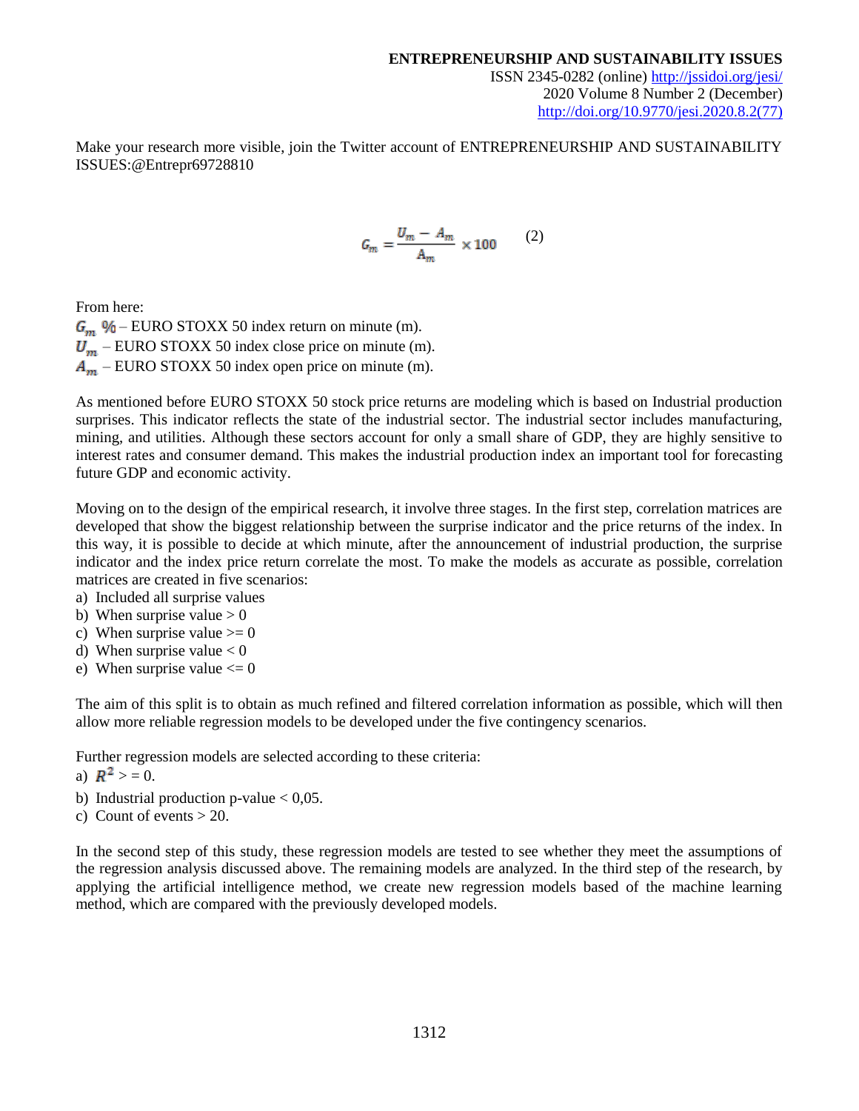## **ENTREPRENEURSHIP AND SUSTAINABILITY ISSUES**

ISSN 2345-0282 (online)<http://jssidoi.org/jesi/> 2020 Volume 8 Number 2 (December) [http://doi.org/10.9770/jesi.2020.8.2\(77\)](http://doi.org/10.9770/jesi.2020.8.2(77))

Make your research more visible, join the Twitter account of ENTREPRENEURSHIP AND SUSTAINABILITY ISSUES:@Entrepr69728810

$$
G_m = \frac{U_m - A_m}{A_m} \times 100 \tag{2}
$$

From here:

 $G_m$  % – EURO STOXX 50 index return on minute (m).  $U_m$  – EURO STOXX 50 index close price on minute (m).  $A_m$  – EURO STOXX 50 index open price on minute (m).

As mentioned before EURO STOXX 50 stock price returns are modeling which is based on Industrial production surprises. This indicator reflects the state of the industrial sector. The industrial sector includes manufacturing, mining, and utilities. Although these sectors account for only a small share of GDP, they are highly sensitive to interest rates and consumer demand. This makes the industrial production index an important tool for forecasting future GDP and economic activity.

Moving on to the design of the empirical research, it involve three stages. In the first step, correlation matrices are developed that show the biggest relationship between the surprise indicator and the price returns of the index. In this way, it is possible to decide at which minute, after the announcement of industrial production, the surprise indicator and the index price return correlate the most. To make the models as accurate as possible, correlation matrices are created in five scenarios:

- a) Included all surprise values
- b) When surprise value  $> 0$
- c) When surprise value  $> = 0$
- d) When surprise value  $< 0$
- e) When surprise value  $\leq 0$

The aim of this split is to obtain as much refined and filtered correlation information as possible, which will then allow more reliable regression models to be developed under the five contingency scenarios.

Further regression models are selected according to these criteria:

- a)  $R^2 > 0$ .
- b) Industrial production p-value  $< 0.05$ .
- c) Count of events  $> 20$ .

In the second step of this study, these regression models are tested to see whether they meet the assumptions of the regression analysis discussed above. The remaining models are analyzed. In the third step of the research, by applying the artificial intelligence method, we create new regression models based of the machine learning method, which are compared with the previously developed models.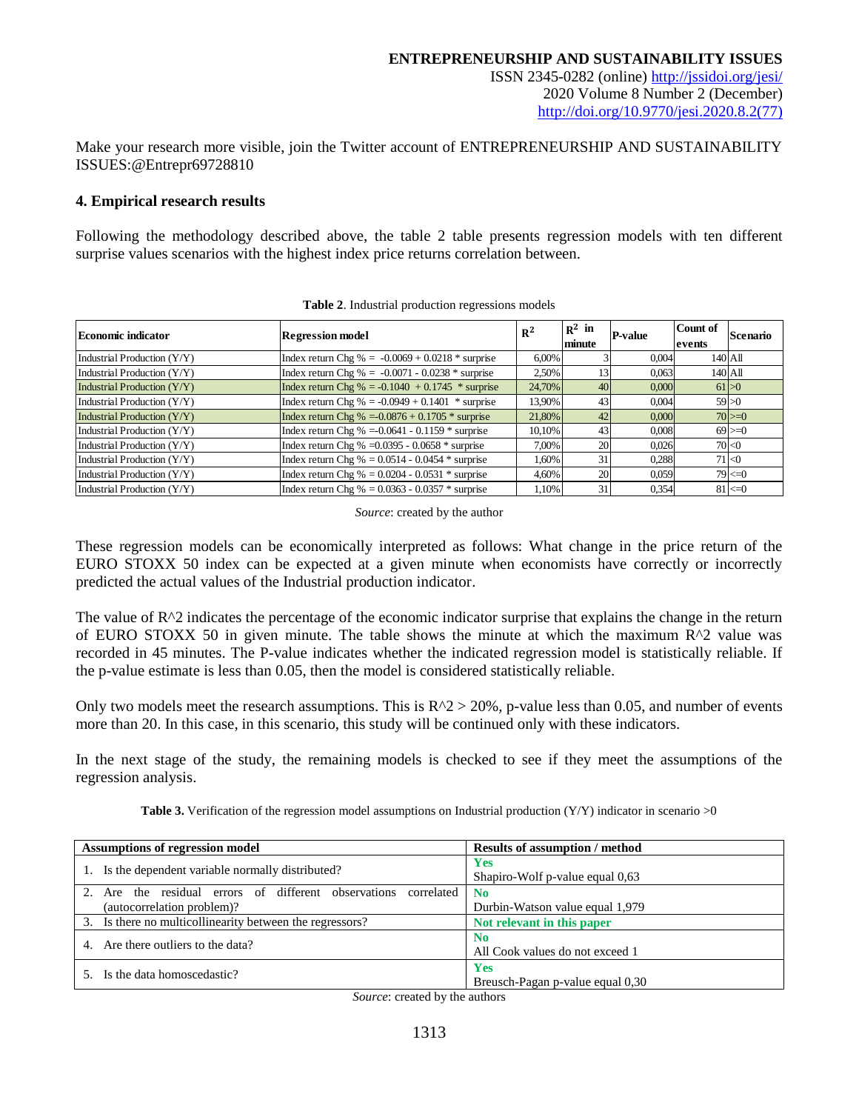## **4. Empirical research results**

Following the methodology described above, the table 2 table presents regression models with ten different surprise values scenarios with the highest index price returns correlation between.

| Economic indicator<br><b>Regression model</b> |                                                     | $R^2$  | $\mathbb{R}^2$ in<br>minute | <b>P-value</b> | Count of<br>events | <b>Scenario</b> |
|-----------------------------------------------|-----------------------------------------------------|--------|-----------------------------|----------------|--------------------|-----------------|
| Industrial Production (Y/Y)                   | Index return Chg % = $-0.0069 + 0.0218$ * surprise  | 6.00%  |                             | 0.004          |                    | 140 All         |
| Industrial Production (Y/Y)                   | Index return Chg $\% = -0.0071 - 0.0238 *$ surprise | 2.50%  | 13                          | 0.063          | 140 All            |                 |
| <b>Industrial Production (Y/Y)</b>            | Index return Chg % = $-0.1040 + 0.1745$ * surprise  | 24,70% | 40                          | 0,000          |                    | 61 > 0          |
| Industrial Production (Y/Y)                   | Index return Chg % = $-0.0949 + 0.1401$ * surprise  | 13.90% | 43                          | 0.004          |                    | 59 > 0          |
| Industrial Production (Y/Y)                   | Index return Chg % = $-0.0876 + 0.1705$ * surprise  | 21,80% | 42                          | 0.000          |                    | $70 \ge 0$      |
| Industrial Production (Y/Y)                   | Index return Chg % = $-0.0641 - 0.1159$ * surprise  | 10,10% | 43                          | 0.008          |                    | 69 > 0          |
| Industrial Production (Y/Y)                   | Index return Chg $\% = 0.0395 - 0.0658$ * surprise  | 7.00%  | 20                          | 0.026          |                    | 70 < 0          |
| Industrial Production (Y/Y)                   | Index return Chg $\% = 0.0514 - 0.0454$ * surprise  | 1.60%  | 31                          | 0.288          |                    | 71 < 0          |
| Industrial Production (Y/Y)                   | Index return Chg $\% = 0.0204 - 0.0531$ * surprise  | 4.60%  | 20                          | 0.059          |                    | 79 < 0          |
| Industrial Production (Y/Y)                   | Index return Chg $\% = 0.0363 - 0.0357$ * surprise  | 1.10%  | 31                          | 0.354          |                    | 81 < 0          |

|  | <b>Table 2.</b> Industrial production regressions models |  |
|--|----------------------------------------------------------|--|
|  |                                                          |  |

*Source*: created by the author

These regression models can be economically interpreted as follows: What change in the price return of the EURO STOXX 50 index can be expected at a given minute when economists have correctly or incorrectly predicted the actual values of the Industrial production indicator.

The value of  $R^2$  indicates the percentage of the economic indicator surprise that explains the change in the return of EURO STOXX 50 in given minute. The table shows the minute at which the maximum  $R^2$  value was recorded in 45 minutes. The P-value indicates whether the indicated regression model is statistically reliable. If the p-value estimate is less than 0.05, then the model is considered statistically reliable.

Only two models meet the research assumptions. This is  $R^2$   $>$  20%, p-value less than 0.05, and number of events more than 20. In this case, in this scenario, this study will be continued only with these indicators.

In the next stage of the study, the remaining models is checked to see if they meet the assumptions of the regression analysis.

| Table 3. Verification of the regression model assumptions on Industrial production $(Y/Y)$ indicator in scenario >0 |  |  |  |
|---------------------------------------------------------------------------------------------------------------------|--|--|--|
|---------------------------------------------------------------------------------------------------------------------|--|--|--|

|    | <b>Assumptions of regression model</b>                          | <b>Results of assumption / method</b>             |
|----|-----------------------------------------------------------------|---------------------------------------------------|
|    | 1. Is the dependent variable normally distributed?              | Yes<br>Shapiro-Wolf p-value equal 0,63            |
|    | the residual errors of different observations correlated<br>Are | N <sub>0</sub>                                    |
|    | (autocorrelation problem)?                                      | Durbin-Watson value equal 1,979                   |
|    | 3. Is there no multicollinearity between the regressors?        | Not relevant in this paper                        |
| 4. | Are there outliers to the data?                                 | N <sub>0</sub><br>All Cook values do not exceed 1 |
|    | 5. Is the data homoscedastic?                                   | <b>Yes</b><br>Breusch-Pagan p-value equal 0,30    |

*Source*: created by the authors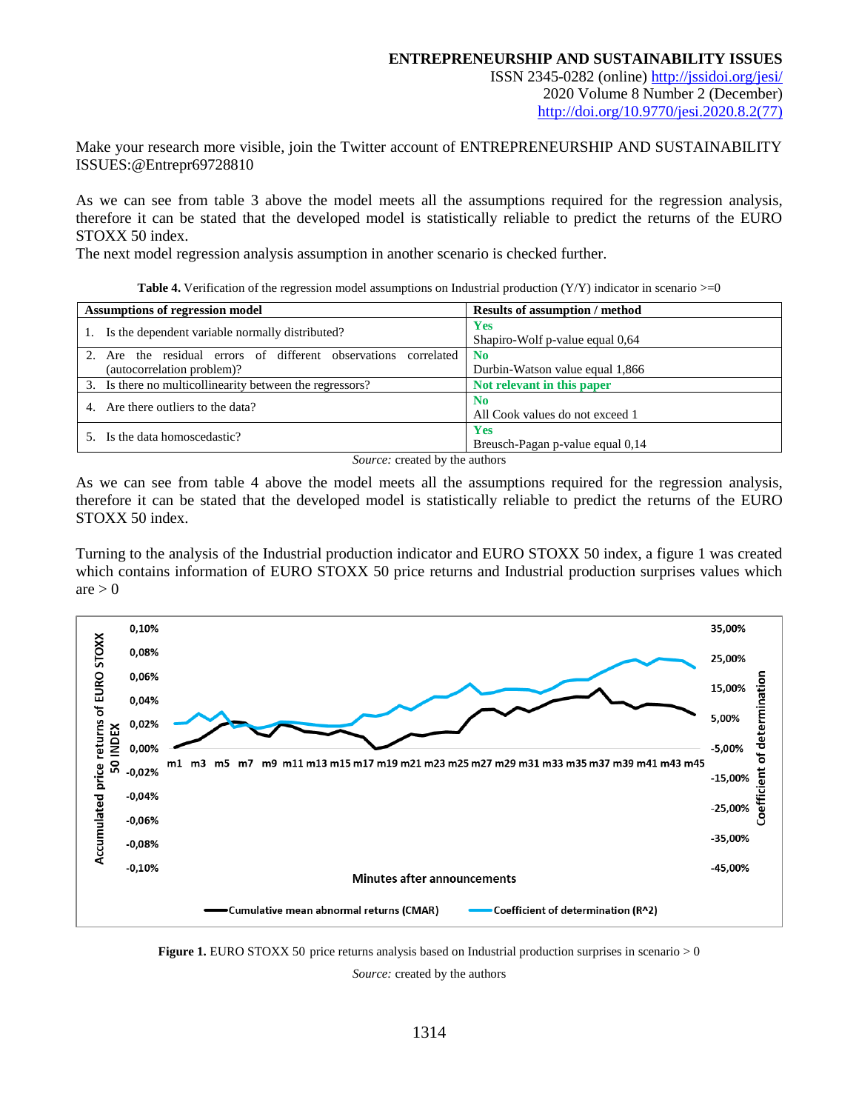# **ENTREPRENEURSHIP AND SUSTAINABILITY ISSUES**

ISSN 2345-0282 (online)<http://jssidoi.org/jesi/> 2020 Volume 8 Number 2 (December) [http://doi.org/10.9770/jesi.2020.8.2\(77\)](http://doi.org/10.9770/jesi.2020.8.2(77))

Make your research more visible, join the Twitter account of ENTREPRENEURSHIP AND SUSTAINABILITY ISSUES:@Entrepr69728810

As we can see from table 3 above the model meets all the assumptions required for the regression analysis, therefore it can be stated that the developed model is statistically reliable to predict the returns of the EURO STOXX 50 index.

The next model regression analysis assumption in another scenario is checked further.

**Table 4.** Verification of the regression model assumptions on Industrial production  $(Y/Y)$  indicator in scenario  $>=0$ 

| <b>Assumptions of regression model</b>                                                     | <b>Results of assumption / method</b>             |  |  |  |  |
|--------------------------------------------------------------------------------------------|---------------------------------------------------|--|--|--|--|
| Is the dependent variable normally distributed?                                            | Yes<br>Shapiro-Wolf p-value equal 0,64            |  |  |  |  |
| Are the residual errors of different observations correlated<br>(autocorrelation problem)? | N <sub>0</sub><br>Durbin-Watson value equal 1,866 |  |  |  |  |
| 3. Is there no multicollinearity between the regressors?                                   | Not relevant in this paper                        |  |  |  |  |
| Are there outliers to the data?<br>4 <sup>1</sup>                                          | N <sub>0</sub><br>All Cook values do not exceed 1 |  |  |  |  |
| 5. Is the data homoscedastic?                                                              | <b>Yes</b><br>Breusch-Pagan p-value equal 0,14    |  |  |  |  |
| <i>Source:</i> created by the authors                                                      |                                                   |  |  |  |  |

*Source:* created by the authors

As we can see from table 4 above the model meets all the assumptions required for the regression analysis, therefore it can be stated that the developed model is statistically reliable to predict the returns of the EURO STOXX 50 index.

Turning to the analysis of the Industrial production indicator and EURO STOXX 50 index, a figure 1 was created which contains information of EURO STOXX 50 price returns and Industrial production surprises values which  $are > 0$ 



**Figure 1.** EURO STOXX 50 price returns analysis based on Industrial production surprises in scenario > 0 *Source:* created by the authors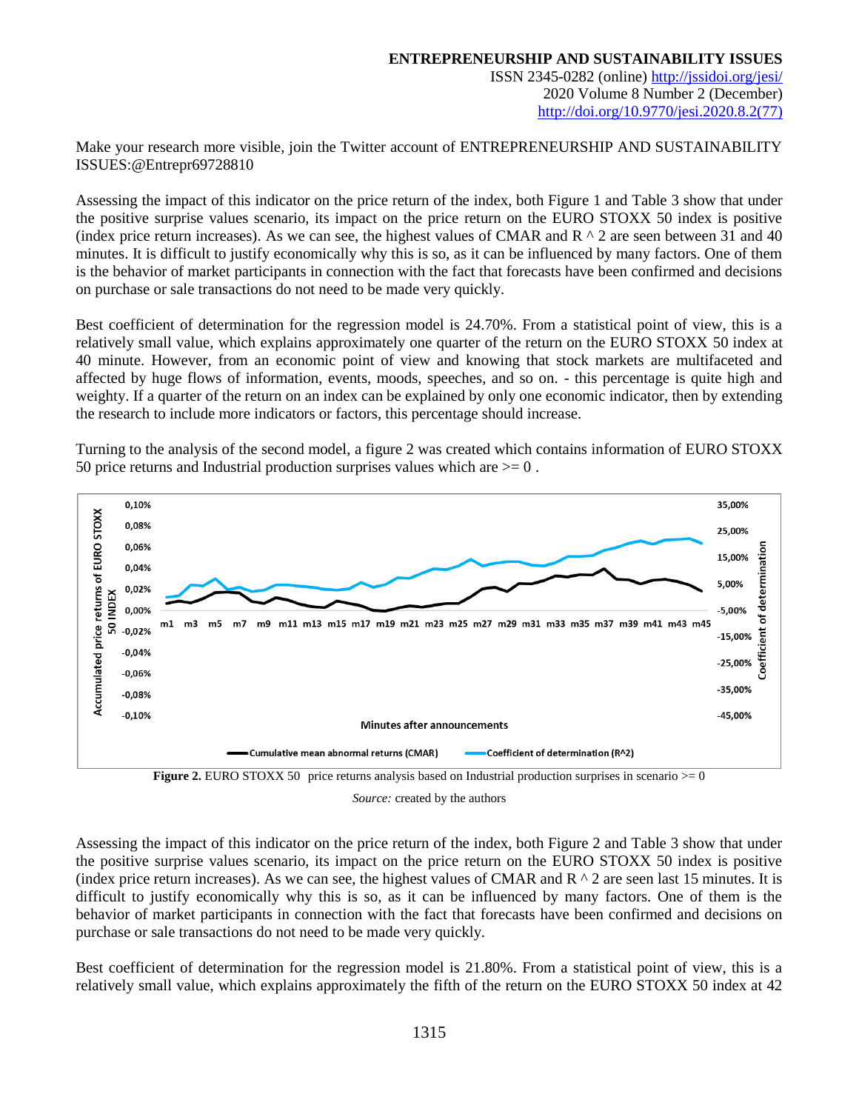Make your research more visible, join the Twitter account of ENTREPRENEURSHIP AND SUSTAINABILITY ISSUES:@Entrepr69728810

Assessing the impact of this indicator on the price return of the index, both Figure 1 and Table 3 show that under the positive surprise values scenario, its impact on the price return on the EURO STOXX 50 index is positive (index price return increases). As we can see, the highest values of CMAR and  $R \wedge 2$  are seen between 31 and 40 minutes. It is difficult to justify economically why this is so, as it can be influenced by many factors. One of them is the behavior of market participants in connection with the fact that forecasts have been confirmed and decisions on purchase or sale transactions do not need to be made very quickly.

Best coefficient of determination for the regression model is 24.70%. From a statistical point of view, this is a relatively small value, which explains approximately one quarter of the return on the EURO STOXX 50 index at 40 minute. However, from an economic point of view and knowing that stock markets are multifaceted and affected by huge flows of information, events, moods, speeches, and so on. - this percentage is quite high and weighty. If a quarter of the return on an index can be explained by only one economic indicator, then by extending the research to include more indicators or factors, this percentage should increase.

Turning to the analysis of the second model, a figure 2 was created which contains information of EURO STOXX 50 price returns and Industrial production surprises values which are  $\geq 0$ .



**Figure 2.** EURO STOXX 50 price returns analysis based on Industrial production surprises in scenario  $> = 0$ *Source:* created by the authors

Assessing the impact of this indicator on the price return of the index, both Figure 2 and Table 3 show that under the positive surprise values scenario, its impact on the price return on the EURO STOXX 50 index is positive (index price return increases). As we can see, the highest values of CMAR and  $R \wedge 2$  are seen last 15 minutes. It is difficult to justify economically why this is so, as it can be influenced by many factors. One of them is the behavior of market participants in connection with the fact that forecasts have been confirmed and decisions on purchase or sale transactions do not need to be made very quickly.

Best coefficient of determination for the regression model is 21.80%. From a statistical point of view, this is a relatively small value, which explains approximately the fifth of the return on the EURO STOXX 50 index at 42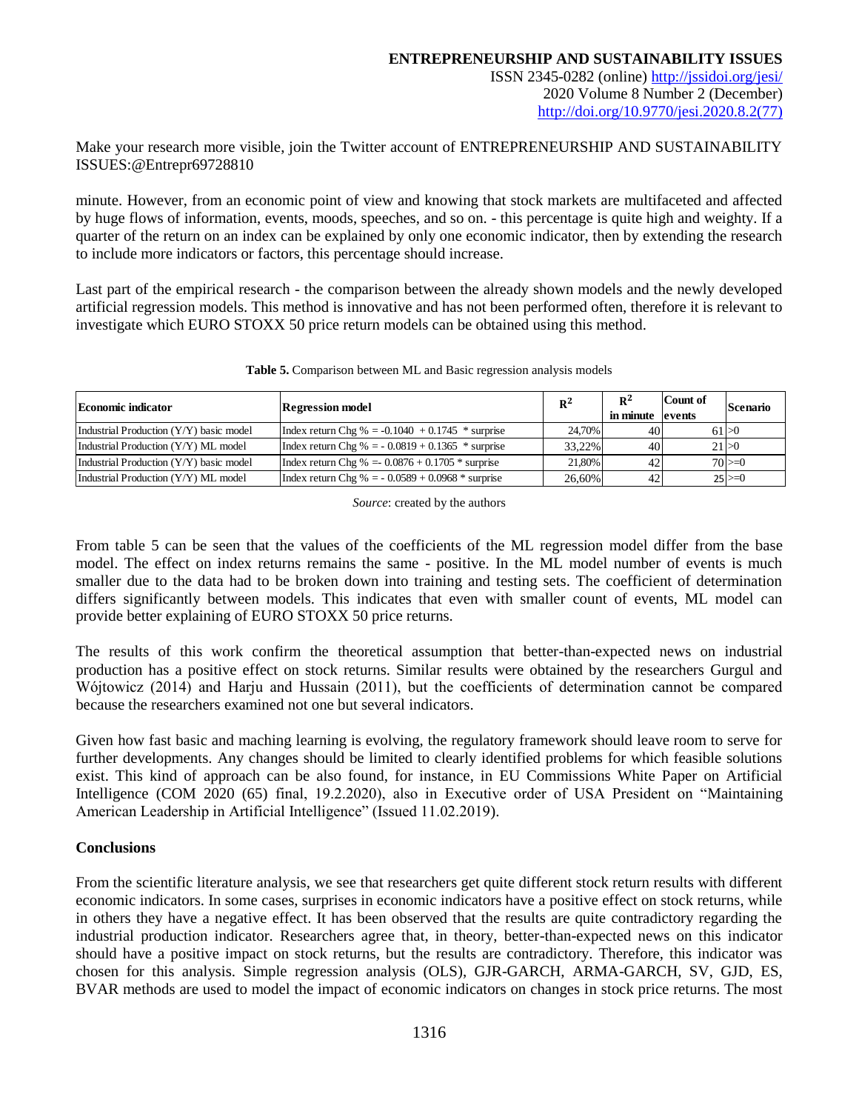Make your research more visible, join the Twitter account of ENTREPRENEURSHIP AND SUSTAINABILITY ISSUES:@Entrepr69728810

minute. However, from an economic point of view and knowing that stock markets are multifaceted and affected by huge flows of information, events, moods, speeches, and so on. - this percentage is quite high and weighty. If a quarter of the return on an index can be explained by only one economic indicator, then by extending the research to include more indicators or factors, this percentage should increase.

Last part of the empirical research - the comparison between the already shown models and the newly developed artificial regression models. This method is innovative and has not been performed often, therefore it is relevant to investigate which EURO STOXX 50 price return models can be obtained using this method.

| <b>Economic indicator</b>               | <b>Regression model</b>                            | $R^2$  | $R^2$<br>in minute levents | Count of | <b>Scenario</b> |
|-----------------------------------------|----------------------------------------------------|--------|----------------------------|----------|-----------------|
| Industrial Production (Y/Y) basic model | Index return Chg % = $-0.1040 + 0.1745$ * surprise | 24.70% | 40                         |          | 61 > 0          |
| Industrial Production (Y/Y) ML model    | Index return Chg % = $-0.0819 + 0.1365$ * surprise | 33.22% | 40                         | 21 > 0   |                 |
| Industrial Production (Y/Y) basic model | Index return Chg % = $0.0876 + 0.1705$ * surprise  | 21.80% | 42                         |          | $70 \ge 0$      |
| Industrial Production (Y/Y) ML model    | Index return Chg % = $-0.0589 + 0.0968$ * surprise | 26.60% | 42                         |          | $25 \ge 0$      |

### **Table 5.** Comparison between ML and Basic regression analysis models

*Source*: created by the authors

From table 5 can be seen that the values of the coefficients of the ML regression model differ from the base model. The effect on index returns remains the same - positive. In the ML model number of events is much smaller due to the data had to be broken down into training and testing sets. The coefficient of determination differs significantly between models. This indicates that even with smaller count of events, ML model can provide better explaining of EURO STOXX 50 price returns.

The results of this work confirm the theoretical assumption that better-than-expected news on industrial production has a positive effect on stock returns. Similar results were obtained by the researchers Gurgul and Wójtowicz (2014) and Harju and Hussain (2011), but the coefficients of determination cannot be compared because the researchers examined not one but several indicators.

Given how fast basic and maching learning is evolving, the regulatory framework should leave room to serve for further developments. Any changes should be limited to clearly identified problems for which feasible solutions exist. This kind of approach can be also found, for instance, in EU Commissions White Paper on Artificial Intelligence (COM 2020 (65) final, 19.2.2020), also in Executive order of USA President on "Maintaining American Leadership in Artificial Intelligence" (Issued 11.02.2019).

# **Conclusions**

From the scientific literature analysis, we see that researchers get quite different stock return results with different economic indicators. In some cases, surprises in economic indicators have a positive effect on stock returns, while in others they have a negative effect. It has been observed that the results are quite contradictory regarding the industrial production indicator. Researchers agree that, in theory, better-than-expected news on this indicator should have a positive impact on stock returns, but the results are contradictory. Therefore, this indicator was chosen for this analysis. Simple regression analysis (OLS), GJR-GARCH, ARMA-GARCH, SV, GJD, ES, BVAR methods are used to model the impact of economic indicators on changes in stock price returns. The most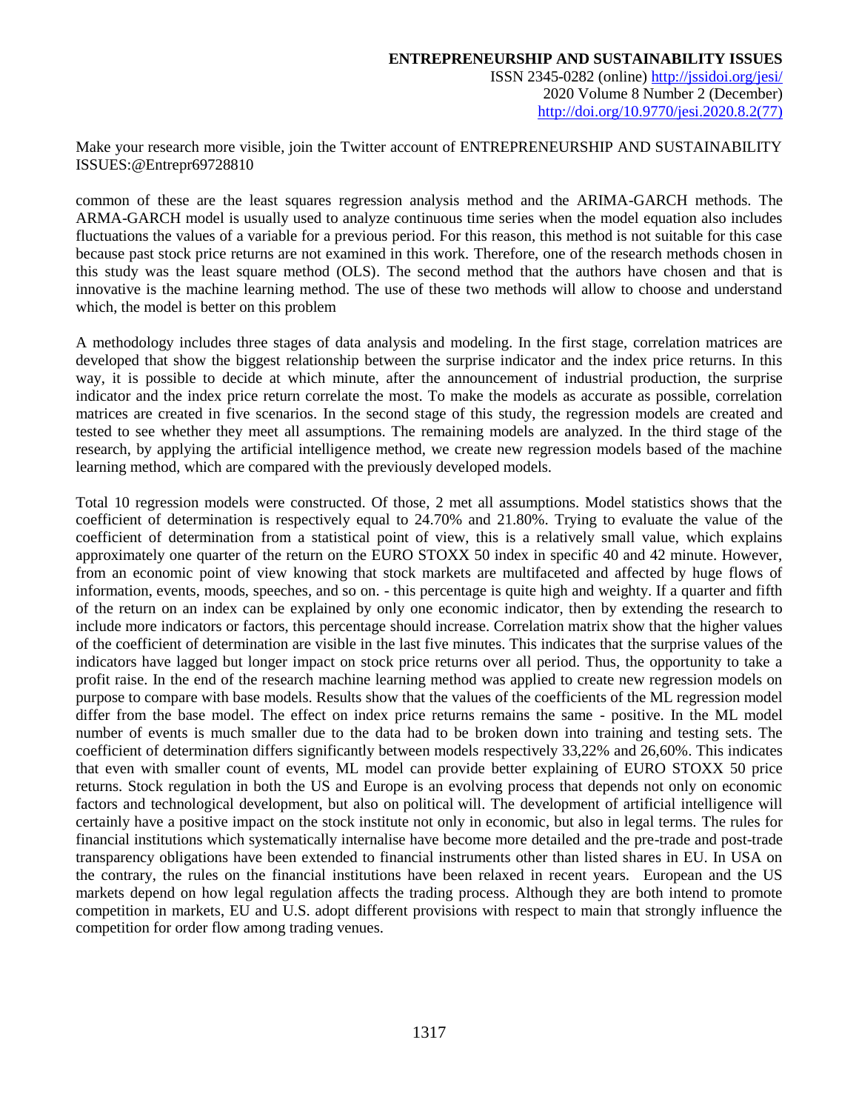Make your research more visible, join the Twitter account of ENTREPRENEURSHIP AND SUSTAINABILITY ISSUES:@Entrepr69728810

common of these are the least squares regression analysis method and the ARIMA-GARCH methods. The ARMA-GARCH model is usually used to analyze continuous time series when the model equation also includes fluctuations the values of a variable for a previous period. For this reason, this method is not suitable for this case because past stock price returns are not examined in this work. Therefore, one of the research methods chosen in this study was the least square method (OLS). The second method that the authors have chosen and that is innovative is the machine learning method. The use of these two methods will allow to choose and understand which, the model is better on this problem

A methodology includes three stages of data analysis and modeling. In the first stage, correlation matrices are developed that show the biggest relationship between the surprise indicator and the index price returns. In this way, it is possible to decide at which minute, after the announcement of industrial production, the surprise indicator and the index price return correlate the most. To make the models as accurate as possible, correlation matrices are created in five scenarios. In the second stage of this study, the regression models are created and tested to see whether they meet all assumptions. The remaining models are analyzed. In the third stage of the research, by applying the artificial intelligence method, we create new regression models based of the machine learning method, which are compared with the previously developed models.

Total 10 regression models were constructed. Of those, 2 met all assumptions. Model statistics shows that the coefficient of determination is respectively equal to 24.70% and 21.80%. Trying to evaluate the value of the coefficient of determination from a statistical point of view, this is a relatively small value, which explains approximately one quarter of the return on the EURO STOXX 50 index in specific 40 and 42 minute. However, from an economic point of view knowing that stock markets are multifaceted and affected by huge flows of information, events, moods, speeches, and so on. - this percentage is quite high and weighty. If a quarter and fifth of the return on an index can be explained by only one economic indicator, then by extending the research to include more indicators or factors, this percentage should increase. Correlation matrix show that the higher values of the coefficient of determination are visible in the last five minutes. This indicates that the surprise values of the indicators have lagged but longer impact on stock price returns over all period. Thus, the opportunity to take a profit raise. In the end of the research machine learning method was applied to create new regression models on purpose to compare with base models. Results show that the values of the coefficients of the ML regression model differ from the base model. The effect on index price returns remains the same - positive. In the ML model number of events is much smaller due to the data had to be broken down into training and testing sets. The coefficient of determination differs significantly between models respectively 33,22% and 26,60%. This indicates that even with smaller count of events, ML model can provide better explaining of EURO STOXX 50 price returns. Stock regulation in both the US and Europe is an evolving process that depends not only on economic factors and technological development, but also on political will. The development of artificial intelligence will certainly have a positive impact on the stock institute not only in economic, but also in legal terms. The rules for financial institutions which systematically internalise have become more detailed and the pre-trade and post-trade transparency obligations have been extended to financial instruments other than listed shares in EU. In USA on the contrary, the rules on the financial institutions have been relaxed in recent years. European and the US markets depend on how legal regulation affects the trading process. Although they are both intend to promote competition in markets, EU and U.S. adopt different provisions with respect to main that strongly influence the competition for order flow among trading venues.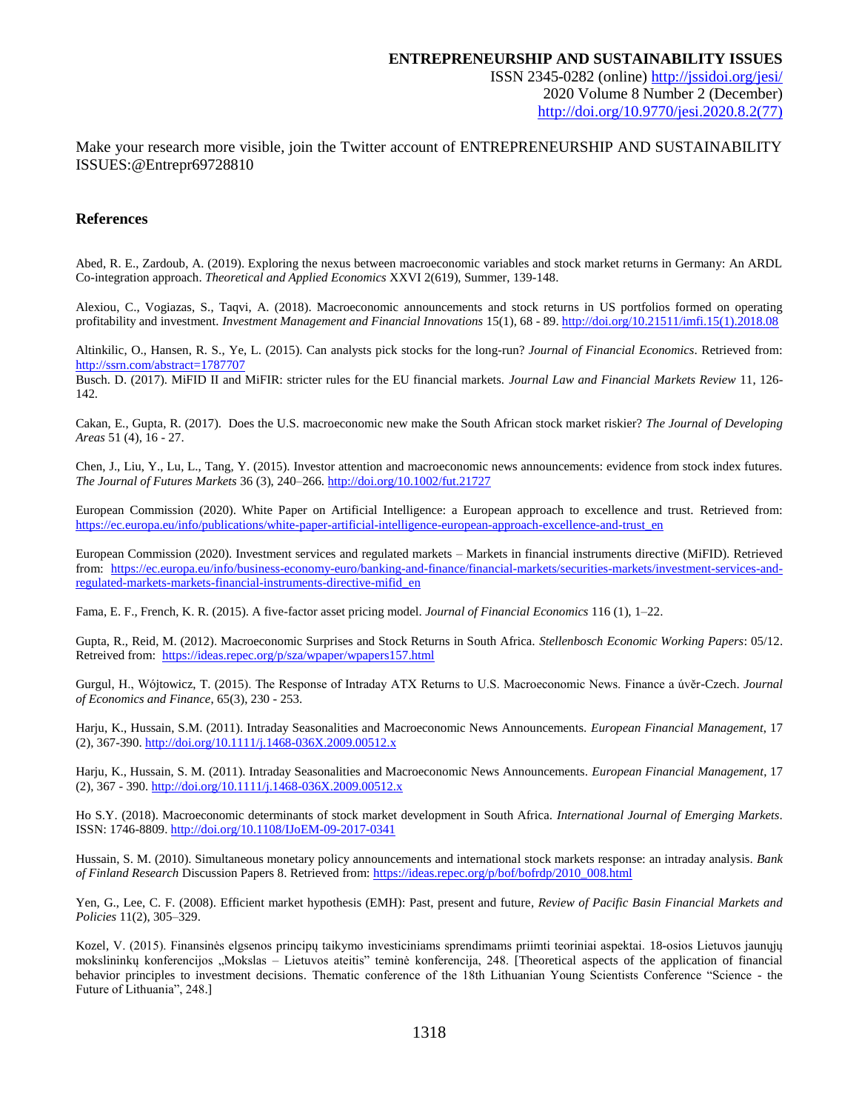Make your research more visible, join the Twitter account of ENTREPRENEURSHIP AND SUSTAINABILITY ISSUES:@Entrepr69728810

#### **References**

Abed, R. E., Zardoub, A. (2019). Exploring the nexus between macroeconomic variables and stock market returns in Germany: An ARDL Co-integration approach. *Theoretical and Applied Economics* XXVI 2(619), Summer, 139-148.

Alexiou, C., Vogiazas, S., Taqvi, A. (2018). Macroeconomic announcements and stock returns in US portfolios formed on operating profitability and investment. *Investment Management and Financial Innovations* 15(1), 68 - 89[. http://doi.org/10.21511/imfi.15\(1\).2018.08](http://doi.org/10.21511/imfi.15(1).2018.08)

Altinkilic, O., Hansen, R. S., Ye, L. (2015). Can analysts pick stocks for the long-run? *Journal of Financial Economics*. Retrieved from: <http://ssrn.com/abstract=1787707>

Busch. D. (2017). MiFID II and MiFIR: stricter rules for the EU financial markets. *Journal Law and Financial Markets Review* 11, 126- 142.

Cakan, E., Gupta, R. (2017). Does the U.S. macroeconomic new make the South African stock market riskier? *The Journal of Developing Areas* 51 (4), 16 - 27.

Chen, J., Liu, Y., Lu, L., Tang, Y. (2015). Investor attention and macroeconomic news announcements: evidence from stock index futures. *The Journal of Futures Markets* 36 (3), 240–266[. http://doi.org/10.1002/fut.21727](http://doi.org/10.1002/fut.21727)

European Commission (2020). White Paper on Artificial Intelligence: a European approach to excellence and trust. Retrieved from: [https://ec.europa.eu/info/publications/white-paper-artificial-intelligence-european-approach-excellence-and-trust\\_en](https://ec.europa.eu/info/publications/white-paper-artificial-intelligence-european-approach-excellence-and-trust_en)

European Commission (2020). Investment services and regulated markets – Markets in financial instruments directive (MiFID). Retrieved from: [https://ec.europa.eu/info/business-economy-euro/banking-and-finance/financial-markets/securities-markets/investment-services-and](https://ec.europa.eu/info/business-economy-euro/banking-and-finance/financial-markets/securities-markets/investment-services-and-regulated-markets-markets-financial-instruments-directive-mifid_en)[regulated-markets-markets-financial-instruments-directive-mifid\\_en](https://ec.europa.eu/info/business-economy-euro/banking-and-finance/financial-markets/securities-markets/investment-services-and-regulated-markets-markets-financial-instruments-directive-mifid_en)

Fama, E. F., French, K. R. (2015). A five-factor asset pricing model. *Journal of Financial Economics* 116 (1), 1–22.

Gupta, R., Reid, M. (2012). Macroeconomic Surprises and Stock Returns in South Africa*. Stellenbosch Economic Working Papers*: 05/12. Retreived from:<https://ideas.repec.org/p/sza/wpaper/wpapers157.html>

Gurgul, H., Wójtowicz, T. (2015). The Response of Intraday ATX Returns to U.S. Macroeconomic News. Finance a úvěr-Czech. *Journal of Economics and Finance*, 65(3), 230 - 253.

Harju, K., Hussain, S.M. (2011). Intraday Seasonalities and Macroeconomic News Announcements. *European Financial Management*, 17 (2), 367-390[. http://doi.org/10.1111/j.1468-036X.2009.00512.x](http://doi.org/10.1111/j.1468-036X.2009.00512.x)

Harju, K., Hussain, S. M. (2011). Intraday Seasonalities and Macroeconomic News Announcements. *European Financial Management*, 17 (2), 367 - 390. <http://doi.org/10.1111/j.1468-036X.2009.00512.x>

Ho S.Y. (2018). Macroeconomic determinants of stock market development in South Africa. *International Journal of Emerging Markets*. ISSN: 1746-8809.<http://doi.org/10.1108/IJoEM-09-2017-0341>

Hussain, S. M. (2010). Simultaneous monetary policy announcements and international stock markets response: an intraday analysis. *Bank of Finland Research* Discussion Papers 8. Retrieved from: https://ideas.repec.org/p/bof/bofrdp/2010\_008.html

Yen, G., Lee, C. F. (2008). Efficient market hypothesis (EMH): Past, present and future*, Review of Pacific Basin Financial Markets and Policies* 11(2), 305–329.

Kozel, V. (2015). Finansinės elgsenos principų taikymo investiciniams sprendimams priimti teoriniai aspektai. 18-osios Lietuvos jaunųjų mokslininkų konferencijos "Mokslas – Lietuvos ateitis" teminė konferencija, 248. [Theoretical aspects of the application of financial behavior principles to investment decisions. Thematic conference of the 18th Lithuanian Young Scientists Conference "Science - the Future of Lithuania", 248.]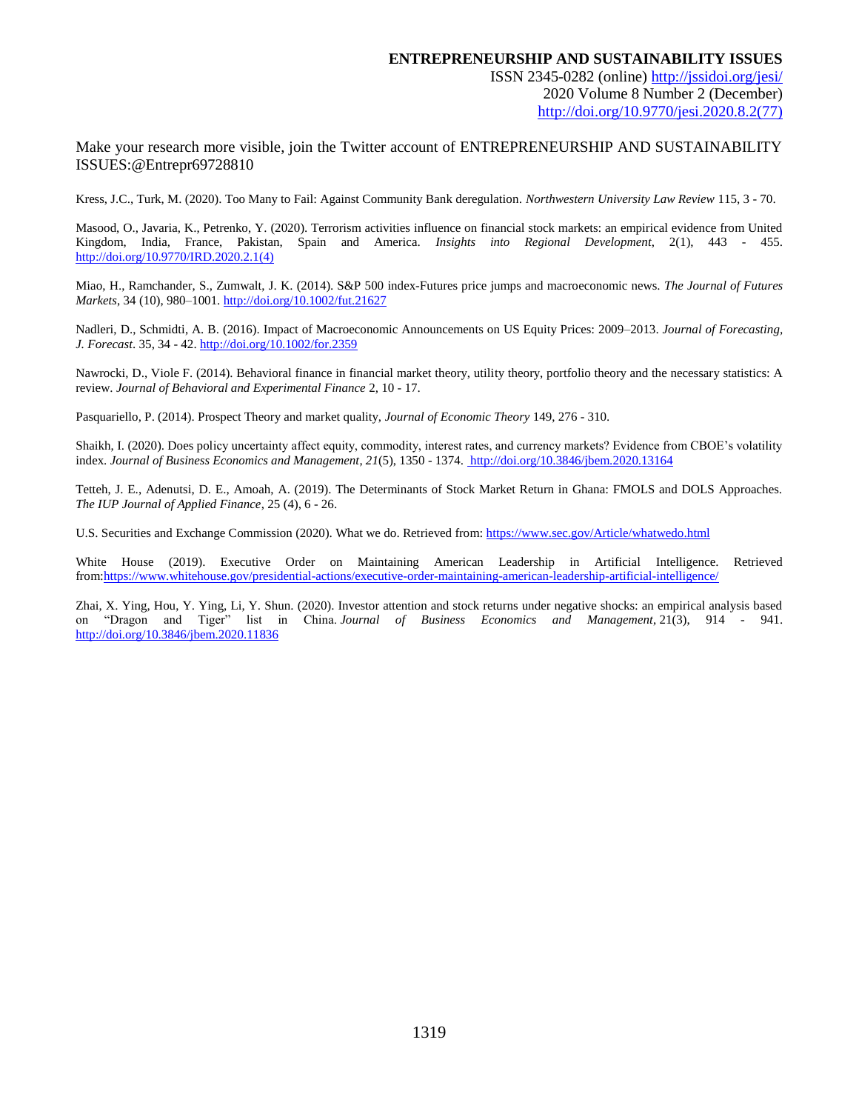Make your research more visible, join the Twitter account of ENTREPRENEURSHIP AND SUSTAINABILITY ISSUES:@Entrepr69728810

Kress, J.C., Turk, M. (2020). Too Many to Fail: Against Community Bank deregulation*. Northwestern University Law Review* 115, 3 - 70.

Masood, O., Javaria, K., Petrenko, Y. (2020). Terrorism activities influence on financial stock markets: an empirical evidence from United Kingdom, India, France, Pakistan, Spain and America. *Insights into Regional Development*, 2(1), 443 - 455. [http://doi.org/10.9770/IRD.2020.2.1\(4\)](http://doi.org/10.9770/IRD.2020.2.1(4))

Miao, H., Ramchander, S., Zumwalt, J. K. (2014). S&P 500 index-Futures price jumps and macroeconomic news. *The Journal of Futures Markets*, 34 (10), 980–1001[. http://doi.org/10.1002/fut.21627](http://doi.org/10.1002/fut.21627)

Nadleri, D., Schmidti, A. B. (2016). Impact of Macroeconomic Announcements on US Equity Prices: 2009–2013. *Journal of Forecasting, J. Forecast*. 35, 34 - 42[. http://doi.org/10.1002/for.2359](http://doi.org/10.1002/for.2359)

Nawrocki, D., Viole F. (2014). Behavioral finance in financial market theory, utility theory, portfolio theory and the necessary statistics: A review. *Journal of Behavioral and Experimental Finance* 2, 10 - 17.

Pasquariello, P. (2014). Prospect Theory and market quality, *Journal of Economic Theory* 149, 276 - 310.

Shaikh, I. (2020). Does policy uncertainty affect equity, commodity, interest rates, and currency markets? Evidence from CBOE's volatility index. *Journal of Business Economics and Management*, *21*(5), 1350 - 1374. <http://doi.org/10.3846/jbem.2020.13164>

Tetteh, J. E., Adenutsi, D. E., Amoah, A. (2019). The Determinants of Stock Market Return in Ghana: FMOLS and DOLS Approaches. *The IUP Journal of Applied Finance*, 25 (4), 6 - 26.

U.S. Securities and Exchange Commission (2020). What we do. Retrieved from[: https://www.sec.gov/Article/whatwedo.html](https://www.sec.gov/Article/whatwedo.html)

White House (2019). Executive Order on Maintaining American Leadership in Artificial Intelligence. Retrieved from[:https://www.whitehouse.gov/presidential-actions/executive-order-maintaining-american-leadership-artificial-intelligence/](https://www.whitehouse.gov/presidential-actions/executive-order-maintaining-american-leadership-artificial-intelligence/)

Zhai, X. Ying, Hou, Y. Ying, Li, Y. Shun. (2020). Investor attention and stock returns under negative shocks: an empirical analysis based on "Dragon and Tiger" list in China. *Journal of Business Economics and Management*, 21(3), 914 - 941. [http://doi.org/10.3846/jbem.2020.11836](https://doi.org/10.3846/jbem.2020.11836)